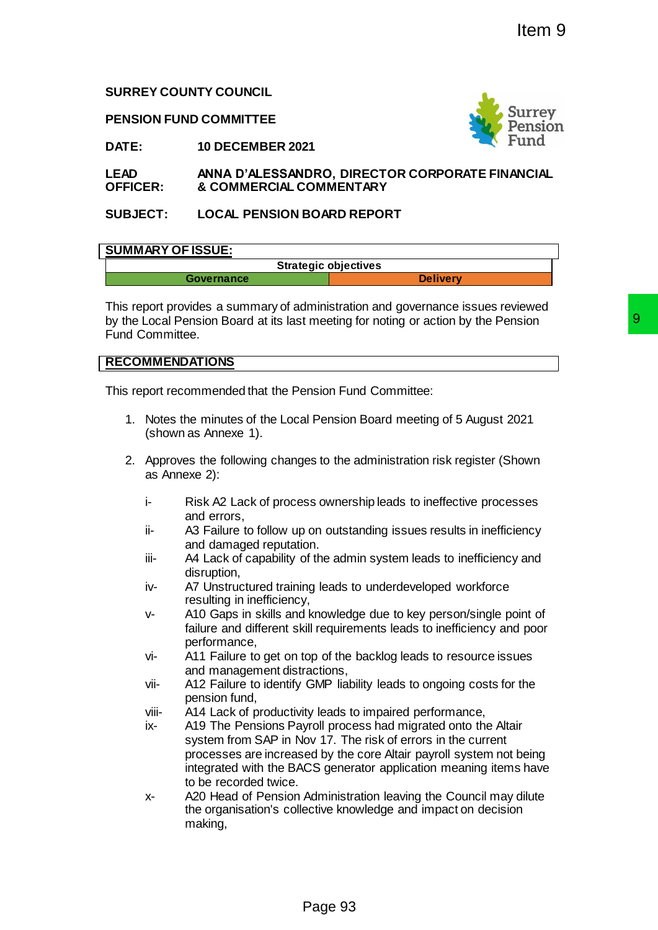# **SURREY COUNTY COUNCIL**

**PENSION FUND COMMITTEE**



**DATE: 10 DECEMBER 2021**

**LEAD OFFICER: ANNA D'ALESSANDRO, DIRECTOR CORPORATE FINANCIAL & COMMERCIAL COMMENTARY**

# **SUBJECT: LOCAL PENSION BOARD REPORT**

### **SUMMARY OF ISSUE:**

| <b>Strategic objectives</b> |                 |
|-----------------------------|-----------------|
| Governance                  | <b>Delivery</b> |

This report provides a summary of administration and governance issues reviewed by the Local Pension Board at its last meeting for noting or action by the Pension Fund Committee.

# **RECOMMENDATIONS**

This report recommended that the Pension Fund Committee:

- 1. Notes the minutes of the Local Pension Board meeting of 5 August 2021 (shown as Annexe 1).
- 2. Approves the following changes to the administration risk register (Shown as Annexe 2):
	- i- Risk A2 Lack of process ownership leads to ineffective processes and errors,
	- ii- A3 Failure to follow up on outstanding issues results in inefficiency and damaged reputation.
	- iii- A4 Lack of capability of the admin system leads to inefficiency and disruption,
	- iv- A7 Unstructured training leads to underdeveloped workforce resulting in inefficiency,
	- v- A10 Gaps in skills and knowledge due to key person/single point of failure and different skill requirements leads to inefficiency and poor performance,
	- vi- A11 Failure to get on top of the backlog leads to resource issues and management distractions,
	- vii- A12 Failure to identify GMP liability leads to ongoing costs for the pension fund,
	- viii- A14 Lack of productivity leads to impaired performance,
- ix- A19 The Pensions Payroll process had migrated onto the Altair system from SAP in Nov 17. The risk of errors in the current processes are increased by the core Altair payroll system not being integrated with the BACS generator application meaning items have to be recorded twice. Page 93 9
	- x- A20 Head of Pension Administration leaving the Council may dilute the organisation's collective knowledge and impact on decision making,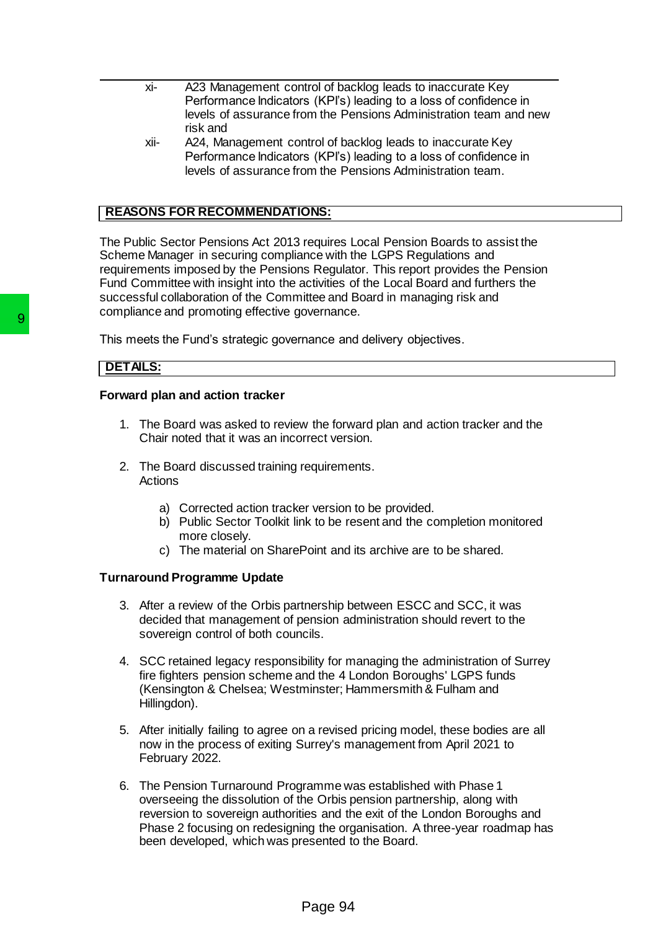- xi- A23 Management control of backlog leads to inaccurate Key Performance Indicators (KPI's) leading to a loss of confidence in levels of assurance from the Pensions Administration team and new risk and
- xii- A24, Management control of backlog leads to inaccurate Key Performance Indicators (KPI's) leading to a loss of confidence in levels of assurance from the Pensions Administration team.

# **REASONS FOR RECOMMENDATIONS:**

The Public Sector Pensions Act 2013 requires Local Pension Boards to assist the Scheme Manager in securing compliance with the LGPS Regulations and requirements imposed by the Pensions Regulator. This report provides the Pension Fund Committee with insight into the activities of the Local Board and furthers the successful collaboration of the Committee and Board in managing risk and compliance and promoting effective governance.

This meets the Fund's strategic governance and delivery objectives.

# **DETAILS:**

### **Forward plan and action tracker**

- 1. The Board was asked to review the forward plan and action tracker and the Chair noted that it was an incorrect version.
- 2. The Board discussed training requirements. Actions
	- a) Corrected action tracker version to be provided.
	- b) Public Sector Toolkit link to be resent and the completion monitored more closely.
	- c) The material on SharePoint and its archive are to be shared.

# **Turnaround Programme Update**

- 3. After a review of the Orbis partnership between ESCC and SCC, it was decided that management of pension administration should revert to the sovereign control of both councils.
- 4. SCC retained legacy responsibility for managing the administration of Surrey fire fighters pension scheme and the 4 London Boroughs' LGPS funds (Kensington & Chelsea; Westminster; Hammersmith & Fulham and Hillingdon).
- 5. After initially failing to agree on a revised pricing model, these bodies are all now in the process of exiting Surrey's management from April 2021 to February 2022.
- 6. The Pension Turnaround Programme was established with Phase 1 overseeing the dissolution of the Orbis pension partnership, along with reversion to sovereign authorities and the exit of the London Boroughs and Phase 2 focusing on redesigning the organisation. A three-year roadmap has been developed, which was presented to the Board. **Solution Starter Scheme Scheme Scheme Scheme 11 and Startegic governance and PETALS:**<br> **Porward plan and action tracker**<br>
1. The Board was asked to review the forw<br>
Chair noted that it was an incorrect vers<br>
2. The Board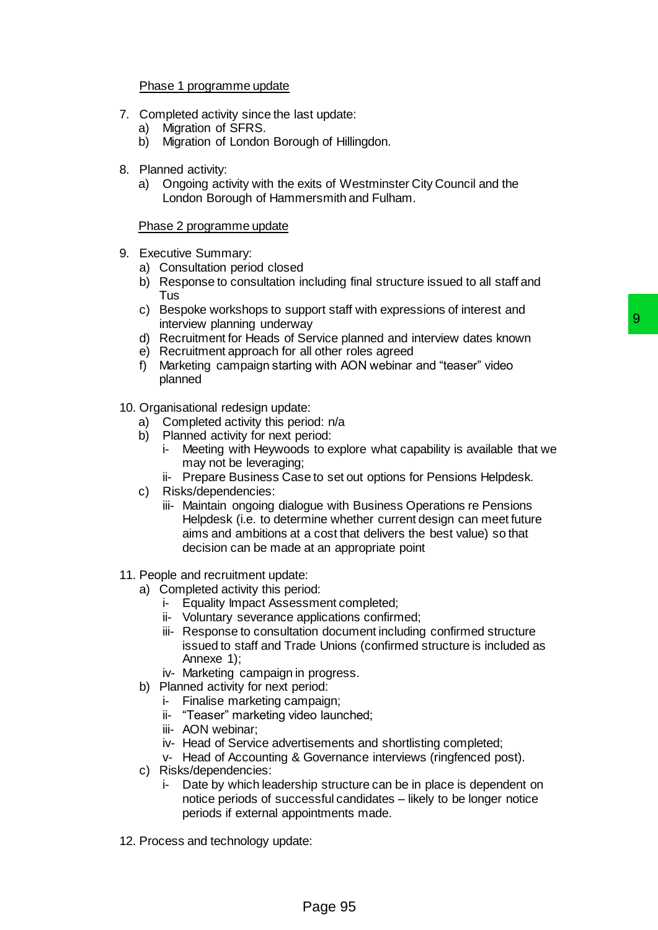### Phase 1 programme update

- 7. Completed activity since the last update:
	- a) Migration of SFRS.
	- b) Migration of London Borough of Hillingdon.
- 8. Planned activity:
	- a) Ongoing activity with the exits of Westminster City Council and the London Borough of Hammersmith and Fulham.

### Phase 2 programme update

- 9. Executive Summary:
	- a) Consultation period closed
	- b) Response to consultation including final structure issued to all staff and Tus
	- c) Bespoke workshops to support staff with expressions of interest and interview planning underway
	- d) Recruitment for Heads of Service planned and interview dates known
	- e) Recruitment approach for all other roles agreed
	- f) Marketing campaign starting with AON webinar and "teaser" video planned
- 10. Organisational redesign update:
	- a) Completed activity this period: n/a
	- b) Planned activity for next period:
		- i- Meeting with Heywoods to explore what capability is available that we may not be leveraging;
		- ii- Prepare Business Case to set out options for Pensions Helpdesk.
	- c) Risks/dependencies:
- iii- Maintain ongoing dialogue with Business Operations re Pensions Helpdesk (i.e. to determine whether current design can meet future aims and ambitions at a cost that delivers the best value) so that decision can be made at an appropriate point Fraction that the distance of the state of the state of the state of planeta and interview dates known<br>all other roles agreed<br>achievic planet and interview dates known<br>in all other roles agreed<br>incid:<br>the stock of explore
- 11. People and recruitment update:
	- a) Completed activity this period:
		- i- Equality Impact Assessment completed;
		- ii- Voluntary severance applications confirmed;
		- iii- Response to consultation document including confirmed structure issued to staff and Trade Unions (confirmed structure is included as Annexe 1);
		- iv- Marketing campaign in progress.
	- b) Planned activity for next period:
		- i- Finalise marketing campaign;
		- ii- "Teaser" marketing video launched;
		- iii- AON webinar;
		- iv- Head of Service advertisements and shortlisting completed;
		- v- Head of Accounting & Governance interviews (ringfenced post).
	- c) Risks/dependencies:
		- i- Date by which leadership structure can be in place is dependent on notice periods of successful candidates – likely to be longer notice periods if external appointments made.
- 12. Process and technology update: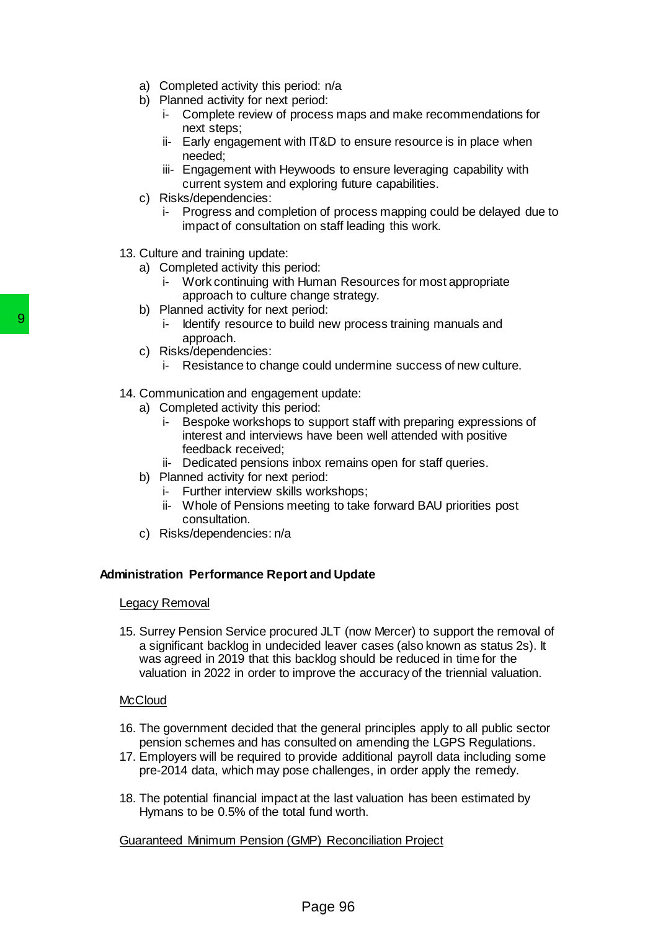- a) Completed activity this period: n/a
- b) Planned activity for next period:
	- i- Complete review of process maps and make recommendations for next steps;
	- ii- Early engagement with IT&D to ensure resource is in place when needed;
	- iii- Engagement with Heywoods to ensure leveraging capability with current system and exploring future capabilities.
- c) Risks/dependencies:
	- i- Progress and completion of process mapping could be delayed due to impact of consultation on staff leading this work.
- 13. Culture and training update:
	- a) Completed activity this period:
		- i- Work continuing with Human Resources for most appropriate approach to culture change strategy.
	- b) Planned activity for next period:
		- i- Identify resource to build new process training manuals and approach.
	- c) Risks/dependencies:
		- i- Resistance to change could undermine success of new culture.
- 14. Communication and engagement update:
	- a) Completed activity this period:
		- i- Bespoke workshops to support staff with preparing expressions of interest and interviews have been well attended with positive feedback received;
		- ii- Dedicated pensions inbox remains open for staff queries.
	- b) Planned activity for next period:
		- i- Further interview skills workshops;
		- ii- Whole of Pensions meeting to take forward BAU priorities post consultation.
	- c) Risks/dependencies: n/a

# **Administration Performance Report and Update**

### Legacy Removal

15. Surrey Pension Service procured JLT (now Mercer) to support the removal of a significant backlog in undecided leaver cases (also known as status 2s). It was agreed in 2019 that this backlog should be reduced in time for the valuation in 2022 in order to improve the accuracy of the triennial valuation. 9<br>
Processort to build new process.<br>
Processort in the dentity resource to build new process:<br>
Processes in the dentity resource to change could und<br>
14. Communication and engagement update<br>
Processes the processes of the

### **McCloud**

- 16. The government decided that the general principles apply to all public sector pension schemes and has consulted on amending the LGPS Regulations.
- 17. Employers will be required to provide additional payroll data including some pre-2014 data, which may pose challenges, in order apply the remedy.
- 18. The potential financial impact at the last valuation has been estimated by Hymans to be 0.5% of the total fund worth.

# Guaranteed Minimum Pension (GMP) Reconciliation Project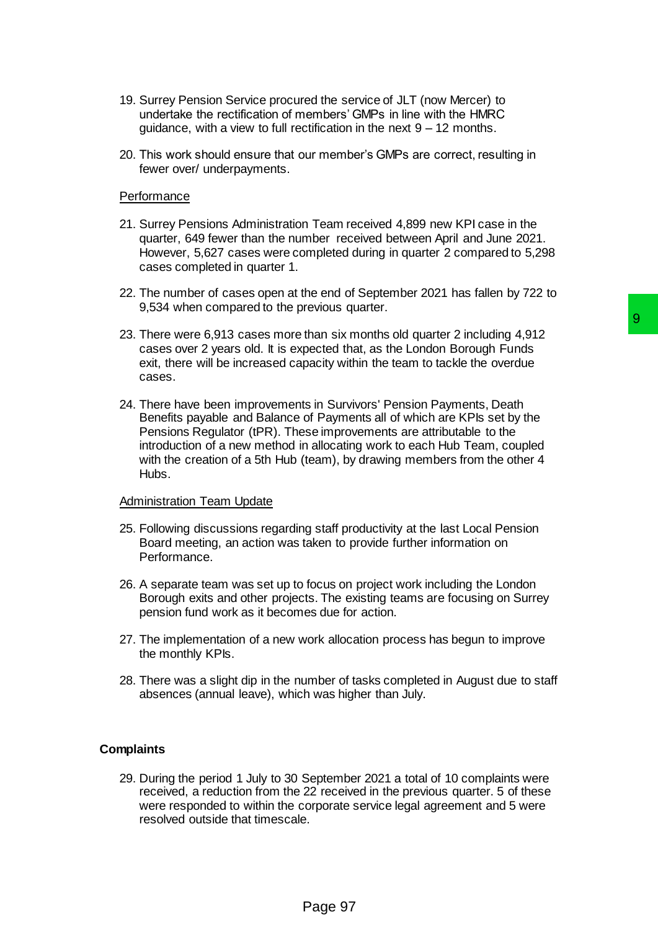- 19. Surrey Pension Service procured the service of JLT (now Mercer) to undertake the rectification of members' GMPs in line with the HMRC guidance, with a view to full rectification in the next  $9 - 12$  months.
- 20. This work should ensure that our member's GMPs are correct, resulting in fewer over/ underpayments.

#### **Performance**

- 21. Surrey Pensions Administration Team received 4,899 new KPI case in the quarter, 649 fewer than the number received between April and June 2021. However, 5,627 cases were completed during in quarter 2 compared to 5,298 cases completed in quarter 1.
- 22. The number of cases open at the end of September 2021 has fallen by 722 to 9,534 when compared to the previous quarter.
- 23. There were 6,913 cases more than six months old quarter 2 including 4,912 cases over 2 years old. It is expected that, as the London Borough Funds exit, there will be increased capacity within the team to tackle the overdue cases.
- 24. There have been improvements in Survivors' Pension Payments, Death Benefits payable and Balance of Payments all of which are KPIs set by the Pensions Regulator (tPR). These improvements are attributable to the introduction of a new method in allocating work to each Hub Team, coupled with the creation of a 5th Hub (team), by drawing members from the other 4 Hubs. **than six months old quarter 2 including 4,912**<br> **99**<br> **opected that, as the London Borough Funds**<br> **sacity within the team to tackle the overdue**<br> **ts in Survivors' Pension Payments. Death**<br> **of Payments all of which are**

#### Administration Team Update

- 25. Following discussions regarding staff productivity at the last Local Pension Board meeting, an action was taken to provide further information on Performance.
- 26. A separate team was set up to focus on project work including the London Borough exits and other projects. The existing teams are focusing on Surrey pension fund work as it becomes due for action.
- 27. The implementation of a new work allocation process has begun to improve the monthly KPIs.
- 28. There was a slight dip in the number of tasks completed in August due to staff absences (annual leave), which was higher than July.

### **Complaints**

29. During the period 1 July to 30 September 2021 a total of 10 complaints were received, a reduction from the 22 received in the previous quarter. 5 of these were responded to within the corporate service legal agreement and 5 were resolved outside that timescale.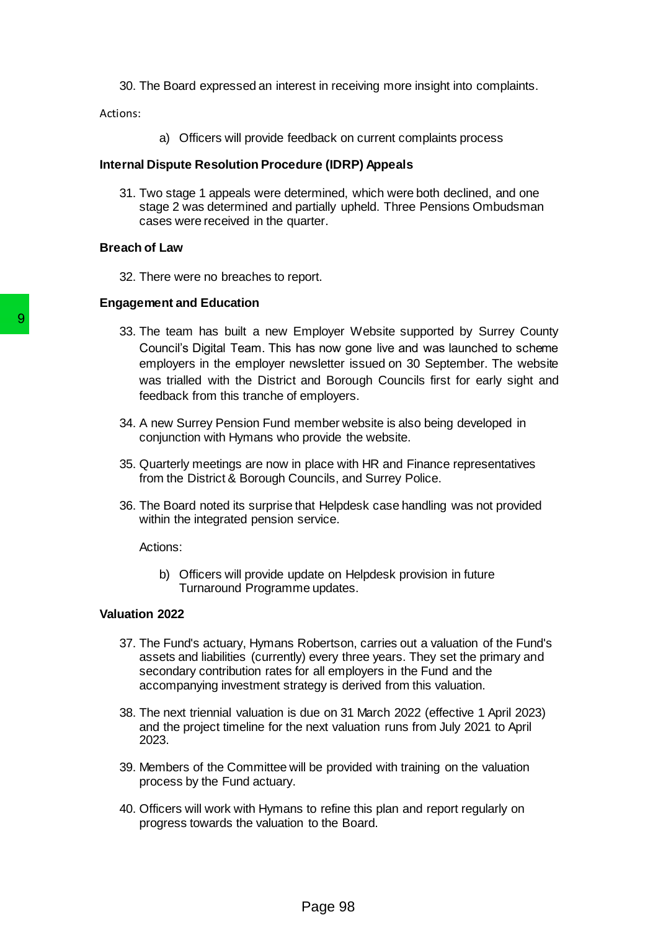30. The Board expressed an interest in receiving more insight into complaints.

Actions:

a) Officers will provide feedback on current complaints process

#### **Internal Dispute Resolution Procedure (IDRP) Appeals**

31. Two stage 1 appeals were determined, which were both declined, and one stage 2 was determined and partially upheld. Three Pensions Ombudsman cases were received in the quarter.

### **Breach of Law**

32. There were no breaches to report.

#### **Engagement and Education**

- 33. The team has built a new Employer Website supported by Surrey County Council's Digital Team. This has now gone live and was launched to scheme employers in the employer newsletter issued on 30 September. The website was trialled with the District and Borough Councils first for early sight and feedback from this tranche of employers. 33. The team has built a new Employer v<br>
Council's Digital Team. This has now got<br>
employer in the employer rewisterier is the employer molecular<br>
was trialled with the District and Borot<br>
feedback from this tranche of emp
	- 34. A new Surrey Pension Fund member website is also being developed in conjunction with Hymans who provide the website.
	- 35. Quarterly meetings are now in place with HR and Finance representatives from the District & Borough Councils, and Surrey Police.
	- 36. The Board noted its surprise that Helpdesk case handling was not provided within the integrated pension service.

Actions:

b) Officers will provide update on Helpdesk provision in future Turnaround Programme updates.

#### **Valuation 2022**

- 37. The Fund's actuary, Hymans Robertson, carries out a valuation of the Fund's assets and liabilities (currently) every three years. They set the primary and secondary contribution rates for all employers in the Fund and the accompanying investment strategy is derived from this valuation.
- 38. The next triennial valuation is due on 31 March 2022 (effective 1 April 2023) and the project timeline for the next valuation runs from July 2021 to April 2023.
- 39. Members of the Committee will be provided with training on the valuation process by the Fund actuary.
- 40. Officers will work with Hymans to refine this plan and report regularly on progress towards the valuation to the Board.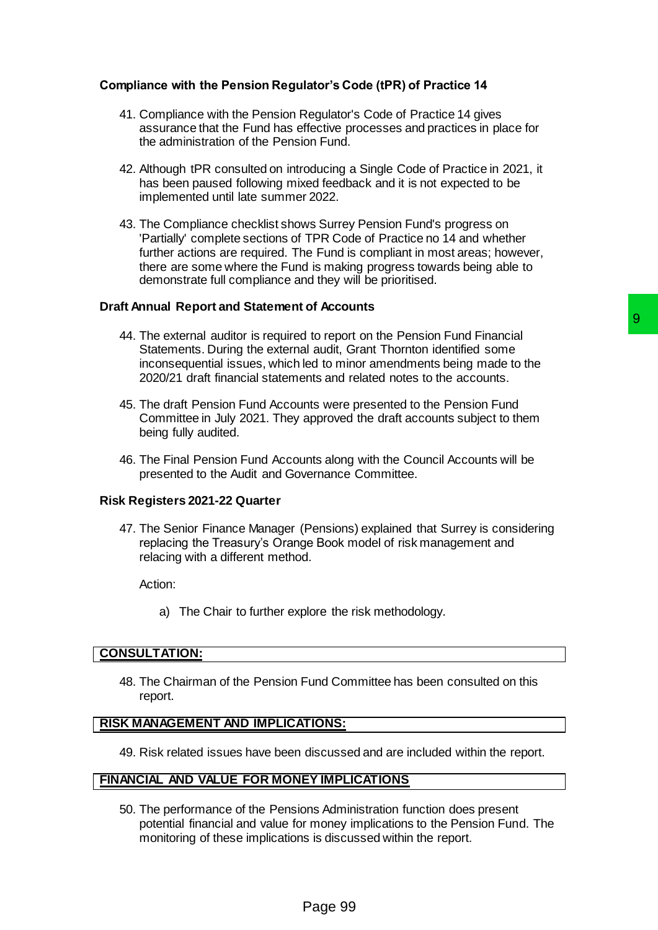# **Compliance with the Pension Regulator's Code (tPR) of Practice 14**

- 41. Compliance with the Pension Regulator's Code of Practice 14 gives assurance that the Fund has effective processes and practices in place for the administration of the Pension Fund.
- 42. Although tPR consulted on introducing a Single Code of Practice in 2021, it has been paused following mixed feedback and it is not expected to be implemented until late summer 2022.
- 43. The Compliance checklist shows Surrey Pension Fund's progress on 'Partially' complete sections of TPR Code of Practice no 14 and whether further actions are required. The Fund is compliant in most areas; however, there are some where the Fund is making progress towards being able to demonstrate full compliance and they will be prioritised.

### **Draft Annual Report and Statement of Accounts**

- 44. The external auditor is required to report on the Pension Fund Financial Statements. During the external audit, Grant Thornton identified some inconsequential issues, which led to minor amendments being made to the 2020/21 draft financial statements and related notes to the accounts. 9<br>
20 to report on the Pension Fund Financial<br>
al audit, Grant Thomton identified some<br>
bled to minor amendments being made to the<br>
ents and related notes to the accounts.<br>
Ints were presented to the Pension Fund<br>
approved
- 45. The draft Pension Fund Accounts were presented to the Pension Fund Committee in July 2021. They approved the draft accounts subject to them being fully audited.
- 46. The Final Pension Fund Accounts along with the Council Accounts will be presented to the Audit and Governance Committee.

### **Risk Registers 2021-22 Quarter**

47. The Senior Finance Manager (Pensions) explained that Surrey is considering replacing the Treasury's Orange Book model of risk management and relacing with a different method.

Action:

a) The Chair to further explore the risk methodology.

### **CONSULTATION:**

48. The Chairman of the Pension Fund Committee has been consulted on this report.

### **RISK MANAGEMENT AND IMPLICATIONS:**

49. Risk related issues have been discussed and are included within the report.

# **FINANCIAL AND VALUE FOR MONEY IMPLICATIONS**

50. The performance of the Pensions Administration function does present potential financial and value for money implications to the Pension Fund. The monitoring of these implications is discussed within the report.